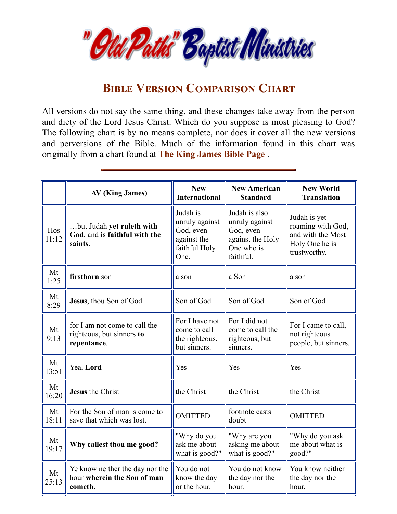

## **BIBLE VERSION COMPARISON CHART**

All versions do not say the same thing, and these changes take away from the person and diety of the Lord Jesus Christ. Which do you suppose is most pleasing to God? The following chart is by no means complete, nor does it cover all the new versions and perversions of the Bible. Much of the information found in this chart was originally from a chart found at **The King [James](http://staggs.pair.com/kjbp) Bible Page** .

|              | AV (King James)                                                           | <b>New</b><br><b>International</b>                                              | <b>New American</b><br><b>Standard</b>                                                      | <b>New World</b><br><b>Translation</b>                                                   |
|--------------|---------------------------------------------------------------------------|---------------------------------------------------------------------------------|---------------------------------------------------------------------------------------------|------------------------------------------------------------------------------------------|
| Hos<br>11:12 | but Judah yet ruleth with<br>God, and is faithful with the<br>saints.     | Judah is<br>unruly against<br>God, even<br>against the<br>faithful Holy<br>One. | Judah is also<br>unruly against<br>God, even<br>against the Holy<br>One who is<br>faithful. | Judah is yet<br>roaming with God,<br>and with the Most<br>Holy One he is<br>trustworthy. |
| Mt<br>1:25   | firstborn son                                                             | a son                                                                           | a Son                                                                                       | a son                                                                                    |
| Mt<br>8:29   | Jesus, thou Son of God                                                    | Son of God                                                                      | Son of God                                                                                  | Son of God                                                                               |
| Mt<br>9:13   | for I am not come to call the<br>righteous, but sinners to<br>repentance. | For I have not<br>come to call<br>the righteous,<br>but sinners.                | For I did not<br>come to call the<br>righteous, but<br>sinners.                             | For I came to call,<br>not righteous<br>people, but sinners.                             |
| Mt<br>13:51  | Yea, Lord                                                                 | Yes                                                                             | Yes                                                                                         | Yes                                                                                      |
| Mt<br>16:20  | <b>Jesus</b> the Christ                                                   | the Christ                                                                      | the Christ                                                                                  | the Christ                                                                               |
| Mt<br>18:11  | For the Son of man is come to<br>save that which was lost.                | <b>OMITTED</b>                                                                  | footnote casts<br>doubt                                                                     | <b>OMITTED</b>                                                                           |
| Mt<br>19:17  | Why callest thou me good?                                                 | "Why do you<br>ask me about<br>what is good?"                                   | "Why are you<br>asking me about<br>what is good?"                                           | "Why do you ask<br>me about what is<br>good?"                                            |
| Mt<br>25:13  | Ye know neither the day nor the<br>hour wherein the Son of man<br>cometh. | You do not<br>know the day<br>or the hour.                                      | You do not know<br>the day nor the<br>hour.                                                 | You know neither<br>the day nor the<br>hour,                                             |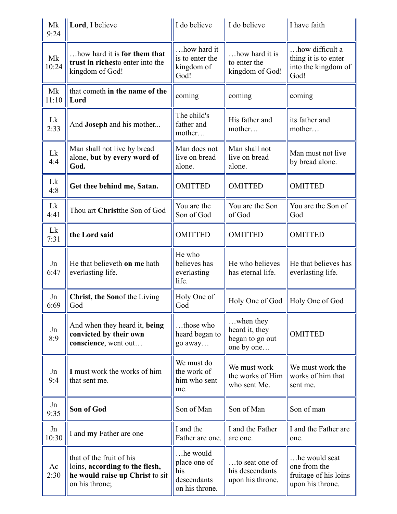| Mk<br>9:24  | Lord, I believe                                                                                                 | I do believe                                                     | I do believe                                                         | I have faith                                                               |
|-------------|-----------------------------------------------------------------------------------------------------------------|------------------------------------------------------------------|----------------------------------------------------------------------|----------------------------------------------------------------------------|
| Mk<br>10:24 | how hard it is for them that<br>trust in richesto enter into the<br>kingdom of God!                             | how hard it<br>is to enter the<br>kingdom of<br>God!             | how hard it is<br>to enter the<br>kingdom of God!                    | how difficult a<br>thing it is to enter<br>into the kingdom of<br>God!     |
| Mk<br>11:10 | that cometh in the name of the<br>Lord                                                                          | coming                                                           | coming                                                               | coming                                                                     |
| Lk<br>2:33  | And <b>Joseph</b> and his mother                                                                                | The child's<br>father and<br>mother                              | His father and<br>mother                                             | its father and<br>mother                                                   |
| Lk<br>4:4   | Man shall not live by bread<br>alone, but by every word of<br>God.                                              | Man does not<br>live on bread<br>alone.                          | Man shall not<br>live on bread<br>alone.                             | Man must not live<br>by bread alone.                                       |
| Lk<br>4:8   | Get thee behind me, Satan.                                                                                      | <b>OMITTED</b>                                                   | <b>OMITTED</b>                                                       | <b>OMITTED</b>                                                             |
| Lk<br>4:41  | Thou art Christthe Son of God                                                                                   | You are the<br>Son of God                                        | You are the Son<br>of God                                            | You are the Son of<br>God                                                  |
| Lk<br>7:31  | the Lord said                                                                                                   | <b>OMITTED</b>                                                   | <b>OMITTED</b>                                                       | <b>OMITTED</b>                                                             |
| Jn<br>6:47  | He that believeth on me hath<br>everlasting life.                                                               | He who<br>believes has<br>everlasting<br>life.                   | He who believes<br>has eternal life.                                 | He that believes has<br>everlasting life.                                  |
| Jn<br>6:69  | Christ, the Sonof the Living<br>God                                                                             | Holy One of<br>God                                               | Holy One of God                                                      | Holy One of God                                                            |
| Jn<br>8:9   | And when they heard it, being<br>convicted by their own<br>conscience, went out                                 | those who<br>heard began to<br>go away                           | $\dots$ when they<br>heard it, they<br>began to go out<br>one by one | <b>OMITTED</b>                                                             |
| Jn<br>9:4   | I must work the works of him<br>that sent me.                                                                   | We must do<br>the work of<br>him who sent<br>me.                 | We must work<br>the works of Him<br>who sent Me.                     | We must work the<br>works of him that<br>sent me.                          |
| Jn<br>9:35  | Son of God                                                                                                      | Son of Man                                                       | Son of Man                                                           | Son of man                                                                 |
| Jn<br>10:30 | I and my Father are one                                                                                         | I and the<br>Father are one.                                     | I and the Father<br>are one.                                         | I and the Father are<br>one.                                               |
| Ac<br>2:30  | that of the fruit of his<br>loins, according to the flesh,<br>he would raise up Christ to sit<br>on his throne; | he would<br>place one of<br>his<br>descendants<br>on his throne. | to seat one of<br>his descendants<br>upon his throne.                | he would seat<br>one from the<br>fruitage of his loins<br>upon his throne. |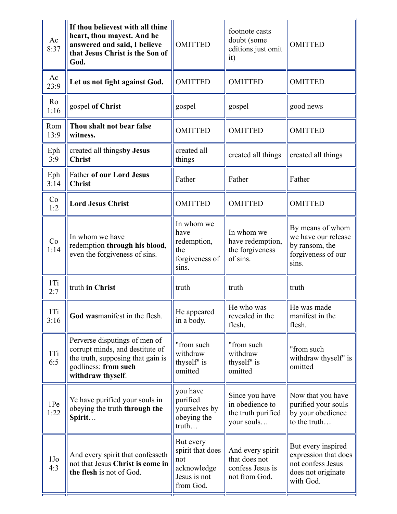| Ac<br>8:37             | If thou believest with all thine<br>heart, thou mayest. And he<br>answered and said, I believe<br>that Jesus Christ is the Son of<br>God.          | <b>OMITTED</b>                                                                   | footnote casts<br>doubt (some<br>editions just omit<br>it)             | <b>OMITTED</b>                                                                                     |
|------------------------|----------------------------------------------------------------------------------------------------------------------------------------------------|----------------------------------------------------------------------------------|------------------------------------------------------------------------|----------------------------------------------------------------------------------------------------|
| Ac<br>23:9             | Let us not fight against God.                                                                                                                      | <b>OMITTED</b>                                                                   | <b>OMITTED</b>                                                         | <b>OMITTED</b>                                                                                     |
| Ro<br>1:16             | gospel of Christ                                                                                                                                   | gospel                                                                           | gospel                                                                 | good news                                                                                          |
| Rom<br>13:9            | Thou shalt not bear false<br>witness.                                                                                                              | <b>OMITTED</b>                                                                   | <b>OMITTED</b>                                                         | <b>OMITTED</b>                                                                                     |
| Eph<br>3:9             | created all thingsby Jesus<br><b>Christ</b>                                                                                                        | created all<br>things                                                            | created all things                                                     | created all things                                                                                 |
| Eph<br>3:14            | <b>Father of our Lord Jesus</b><br><b>Christ</b>                                                                                                   | Father                                                                           | Father                                                                 | Father                                                                                             |
| Co<br>1:2              | <b>Lord Jesus Christ</b>                                                                                                                           | <b>OMITTED</b>                                                                   | <b>OMITTED</b>                                                         | <b>OMITTED</b>                                                                                     |
| Co<br>1:14             | In whom we have<br>redemption through his blood,<br>even the forgiveness of sins.                                                                  | In whom we<br>have<br>redemption,<br>the<br>forgiveness of<br>sins.              | In whom we<br>have redemption,<br>the forgiveness<br>of sins.          | By means of whom<br>we have our release<br>by ransom, the<br>forgiveness of our<br>sins.           |
| 1Ti<br>2:7             | truth in Christ                                                                                                                                    | truth                                                                            | truth                                                                  | truth                                                                                              |
| $1$ Ti<br>3:16         | God wasmanifest in the flesh.                                                                                                                      | He appeared<br>in a body.                                                        | He who was<br>revealed in the<br>flesh.                                | He was made<br>manifest in the<br>flesh.                                                           |
| 1Ti<br>6:5             | Perverse disputings of men of<br>corrupt minds, and destitute of<br>the truth, supposing that gain is<br>godliness: from such<br>withdraw thyself. | "from such<br>withdraw<br>thyself" is<br>omitted                                 | "from such<br>withdraw<br>thyself' is<br>omitted                       | "from such<br>withdraw thyself" is<br>omitted                                                      |
| 1Pe<br>1:22            | Ye have purified your souls in<br>obeying the truth through the<br>Spirit                                                                          | you have<br>purified<br>yourselves by<br>obeying the<br>truth                    | Since you have<br>in obedience to<br>the truth purified<br>your souls  | Now that you have<br>purified your souls<br>by your obedience<br>to the truth                      |
| 1J <sub>o</sub><br>4:3 | And every spirit that confesseth<br>not that Jesus Christ is come in<br>the flesh is not of God.                                                   | But every<br>spirit that does<br>not<br>acknowledge<br>Jesus is not<br>from God. | And every spirit<br>that does not<br>confess Jesus is<br>not from God. | But every inspired<br>expression that does<br>not confess Jesus<br>does not originate<br>with God. |